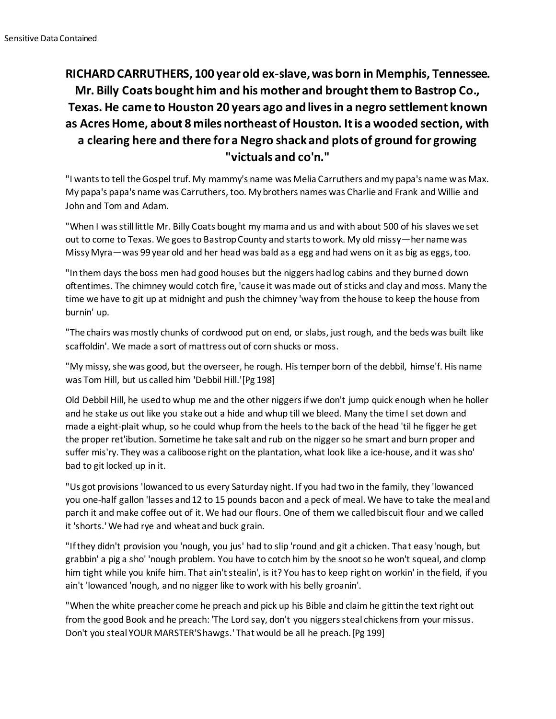## **RICHARD CARRUTHERS, 100 year old ex-slave, was born in Memphis, Tennessee. Mr. Billy Coats bought him and his mother and brought them to Bastrop Co., Texas. He came to Houston 20 years ago and lives in a negro settlement known as Acres Home, about 8 miles northeast of Houston. It is a wooded section, with a clearing here and there for a Negro shack and plots of ground for growing "victuals and co'n."**

"I wants to tell the Gospel truf. My mammy's name was Melia Carruthers and my papa's name was Max. My papa's papa's name was Carruthers, too. My brothers names was Charlie and Frank and Willie and John and Tom and Adam.

"When I was still little Mr. Billy Coats bought my mama and us and with about 500 of his slaves we set out to come to Texas. We goes to Bastrop County and starts to work. My old missy—her name was Missy Myra—was 99 year old and her head was bald as a egg and had wens on it as big as eggs, too.

"In them days the boss men had good houses but the niggers had log cabins and they burned down oftentimes. The chimney would cotch fire, 'cause it was made out of sticks and clay and moss. Many the time we have to git up at midnight and push the chimney 'way from the house to keep the house from burnin' up.

"The chairs was mostly chunks of cordwood put on end, or slabs, just rough, and the beds was built like scaffoldin'. We made a sort of mattress out of corn shucks or moss.

"My missy, she was good, but the overseer, he rough. His temper born of the debbil, himse'f. His name was Tom Hill, but us called him 'Debbil Hill.'[Pg 198]

Old Debbil Hill, he used to whup me and the other niggers if we don't jump quick enough when he holler and he stake us out like you stake out a hide and whup till we bleed. Many the time I set down and made a eight-plait whup, so he could whup from the heels to the back of the head 'til he figger he get the proper ret'ibution. Sometime he take salt and rub on the nigger so he smart and burn proper and suffer mis'ry. They was a caliboose right on the plantation, what look like a ice-house, and it was sho' bad to git locked up in it.

"Us got provisions 'lowanced to us every Saturday night. If you had two in the family, they 'lowanced you one-half gallon 'lasses and 12 to 15 pounds bacon and a peck of meal. We have to take the meal and parch it and make coffee out of it. We had our flours. One of them we called biscuit flour and we called it 'shorts.' We had rye and wheat and buck grain.

"If they didn't provision you 'nough, you jus' had to slip 'round and git a chicken. That easy 'nough, but grabbin' a pig a sho' 'nough problem. You have to cotch him by the snoot so he won't squeal, and clomp him tight while you knife him. That ain't stealin', is it? You has to keep right on workin' in the field, if you ain't 'lowanced 'nough, and no nigger like to work with his belly groanin'.

"When the white preacher come he preach and pick up his Bible and claim he gittin the text right out from the good Book and he preach: 'The Lord say, don't you niggers steal chickens from your missus. Don't you steal YOUR MARSTER'S hawgs.' That would be all he preach.[Pg 199]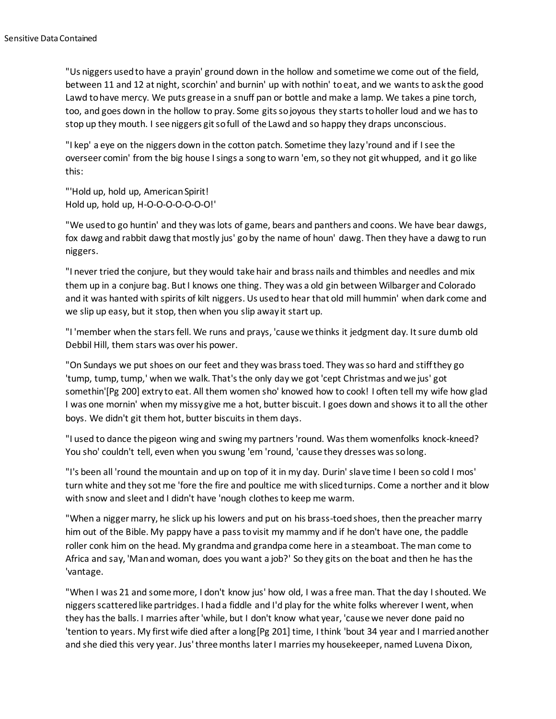"Us niggers used to have a prayin' ground down in the hollow and sometime we come out of the field, between 11 and 12 at night, scorchin' and burnin' up with nothin' to eat, and we wants to ask the good Lawd to have mercy. We puts grease in a snuff pan or bottle and make a lamp. We takes a pine torch, too, and goes down in the hollow to pray. Some gits so joyous they starts to holler loud and we has to stop up they mouth. I see niggers git so full of the Lawd and so happy they draps unconscious.

"I kep' a eye on the niggers down in the cotton patch. Sometime they lazy 'round and if I see the overseer comin' from the big house I sings a song to warn 'em, so they not git whupped, and it go like this:

"'Hold up, hold up, American Spirit! Hold up, hold up, H-O-O-O-O-O-O-O!'

"We used to go huntin' and they was lots of game, bears and panthers and coons. We have bear dawgs, fox dawg and rabbit dawg that mostly jus' go by the name of houn' dawg. Then they have a dawg to run niggers.

"I never tried the conjure, but they would take hair and brass nails and thimbles and needles and mix them up in a conjure bag. But I knows one thing. They was a old gin between Wilbarger and Colorado and it was hanted with spirits of kilt niggers. Us used to hear that old mill hummin' when dark come and we slip up easy, but it stop, then when you slip away it start up.

"I 'member when the stars fell. We runs and prays, 'cause we thinks it jedgment day. It sure dumb old Debbil Hill, them stars was over his power.

"On Sundays we put shoes on our feet and they was brass toed. They was so hard and stiff they go 'tump, tump, tump,' when we walk. That's the only day we got 'cept Christmas and we jus' got somethin'[Pg 200] extry to eat. All them women sho' knowed how to cook! I often tell my wife how glad I was one mornin' when my missy give me a hot, butter biscuit. I goes down and shows it to all the other boys. We didn't git them hot, butter biscuits in them days.

"I used to dance the pigeon wing and swing my partners 'round. Was them womenfolks knock-kneed? You sho' couldn't tell, even when you swung 'em 'round, 'cause they dresses was so long.

"I's been all 'round the mountain and up on top of it in my day. Durin' slave time I been so cold I mos' turn white and they sot me 'fore the fire and poultice me with sliced turnips. Come a norther and it blow with snow and sleet and I didn't have 'nough clothes to keep me warm.

"When a nigger marry, he slick up his lowers and put on his brass-toed shoes, then the preacher marry him out of the Bible. My pappy have a pass to visit my mammy and if he don't have one, the paddle roller conk him on the head. My grandma and grandpa come here in a steamboat. The man come to Africa and say, 'Man and woman, does you want a job?' So they gits on the boat and then he has the 'vantage.

"When I was 21 and some more, I don't know jus' how old, I was a free man. That the day I shouted. We niggers scattered like partridges. I had a fiddle and I'd play for the white folks wherever I went, when they has the balls. I marries after 'while, but I don't know what year, 'cause we never done paid no 'tention to years. My first wife died after a long[Pg 201] time, I think 'bout 34 year and I married another and she died this very year. Jus' three months later I marries my housekeeper, named Luvena Dixon,